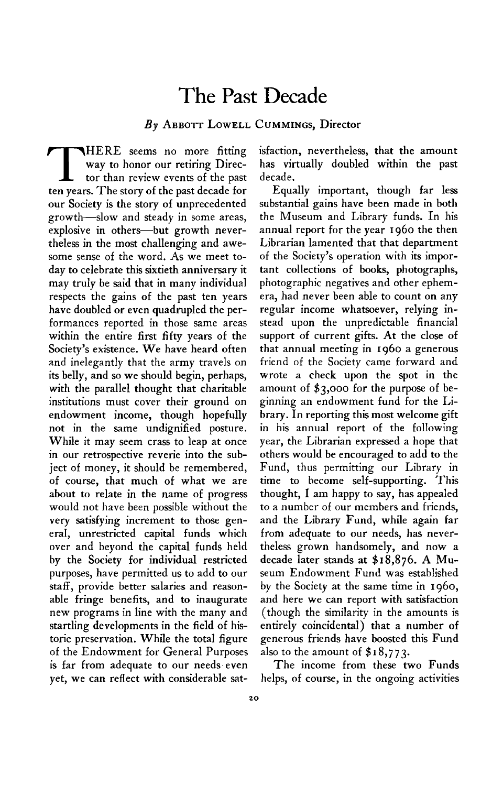## **The Past Decade**

## **By ABBOTT LOWELL CUMMINGS, Director**

**T HERE seems no more fitting way to honor our retiring Director than review events of the past ten years. The story of the past decade for our Society is the story of unprecedented growth-slow and steady in some areas,**  explosive in others—but growth never**theless in the most challenging and awesome sense of the word. As we meet today to celebrate this sixtieth anniversary it may truly be said that in many individual respects the gains of the past ten years have doubled or even quadrupled the performances reported in those same areas within the entire first fifty years of the Society's existence. We have heard often and inelegantly that the army travels on its belly, and so we should begin, perhaps, with the parallel thought that charitable institutions must cover their ground on endowment income, though hopefully not in the same undignified posture. While it may seem crass to leap at once in our retrospective reverie into the subject of money, it should be remembered, of course, that much of what we are about to relate in the name of progress would not have been possible without the very satisfying increment to those general, unrestricted capital funds which over and beyond the capital funds held by the Society for individual restricted purposes, have permitted us to add to our staff, provide better salaries and reasonable fringe benefits, and to inaugurate new programs in line with the many and startling developments in the field of historic preservation. While the total figure of the Endowment for General Purposes is far from adequate to our needs even yet, we can reflect with considerable sat-** **isfaction, nevertheless, that the amount has virtually doubled within the past decade.** 

**Equally important, though far less substantial gains have been made in both the Museum and Library funds. In his annual report for the year 1960 the then Librarian lamented that that department of the Society's operation with its important collections of books, photographs, photographic negatives and other ephemera, had never been able to count on any regular income whatsoever, relying instead upon the unpredictable financial support of current gifts. At the close of that annual meeting in 1960 a generous friend of the Society came forward and wrote a check upon the spot in the amount of \$3,000 for the purpose of beginning an endowment fund for the Library. In reporting this most welcome gift in his annual report of the following year, the Librarian expressed a hope that others would be encouraged to add to the Fund, thus permitting our Library in time to become self-supporting. This thought, I am happy to say, has appealed to a number of our members and friends, and the Library Fund, while again far from adequate to our needs, has nevertheless grown handsomely, and now a decade later stands at \$18,876. A Museum Endowment Fund was established by the Society at the same time in 1960, and here we can report with satisfaction (though the similarity in the amounts is entirely coincidental) that a number of generous friends have boosted this Fund also to the amount of \$18,773.** 

**The income from these two Funds helps, of course, in the ongoing activities**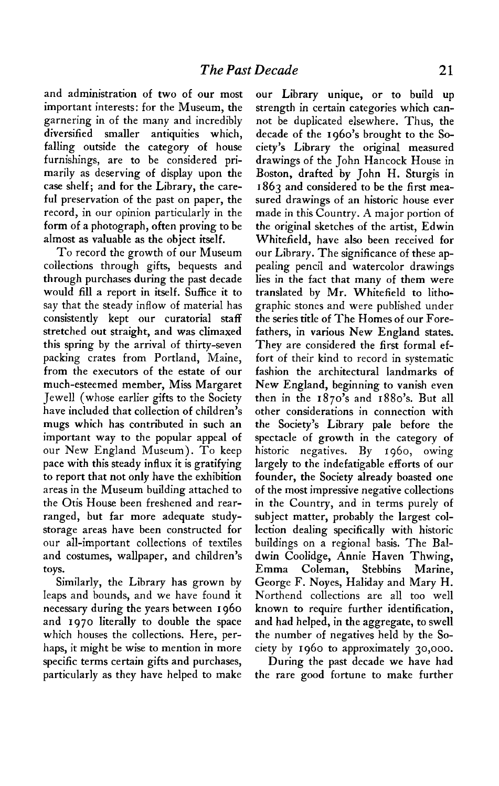**and administration of two of our most important interests: for the Museum, the garnering in of the many and incredibly diversified smaller antiquities which, falling outside the category of house furnishings, are to be considered primarily as deserving of display upon the case shelf; and for the Library, the care**ful preservation of the past on paper, the **record, in our opinion particularly in the form of a photograph, often proving to be almost as valuable as the object itself.** 

**To record the growth of our Museum collections through gifts, bequests and through purchases during the past decade would fill a report in itself. Suffice it to say that the steady inflow of material has consistently kept our curatorial staff stretched out straight, and was climaxed this spring by the arrival of thirty-seven packing crates from Portland, Maine, from the executors of the estate of our much-esteemed member, Miss Margaret Jewel1 (whose earlier gifts to the Society have included that collection of children's mugs which has contributed in such an important way to the popular appeal of our New England Museum). To keep pace with this steady influx it is gratifying to report that not only have the exhibition areas in the Museum building attached to the Otis House been freshened and rearranged, but far more adequate studystorage areas have been constructed for our all-important collections of textiles and costumes, wallpaper, and children's toys.** 

**Similarly, the Library has grown by leaps and bounds, and we have found it necessary during the years between I 960 and 1970 literally to double the space which houses the collections. Here, perhaps, it might be wise to mention in more specific terms certain gifts and purchases, particularly as they have helped to make** 

**our Library unique, or to build up strength in certain categories which cannot be duplicated elsewhere. Thus, the decade of the 1960's brought to the Society's Library the original measured drawings of the John Hancock House in Boston, drafted by John H. Sturgis in 1863 and considered to be the first measured drawings of an historic house ever made in this Country. A major portion of the original sketches of the artist, Edwin Whitefield, have also been received for our Library. The significance of these appealing pencil and watercolor drawings lies in the fact that many of them were translated by Mr. Whitefield to lithographic stones and were published under the series title of The Homes of our Forefathers, in various New England states. They are considered the first formal effort of their kind to record in systematic fashion the architectural landmarks of New England, beginning to vanish even**   $then$  in the  $1870$ 's and  $1880$ 's. But all **other considerations in connection with the Society's Library pale before the spectacle of growth in the category of historic negatives. By 1960, owing largely to the indefatigable efforts of our founder, the Society already boasted one of the most impressive negative collections in the Country, and in terms purely of subject matter, probably the largest collection dealing specifically with historic buildings on a regional basis. The Baldwin Coolidge, Annie Haven Thwing, Emma Coleman, Stebbins Marine, George F. Noyes, Haliday and Mary H. Northend collections are all too well known to require further identification, and had helped, in the aggregate, to swell the number of negatives held by the Society by 1960 to approximately 30,000.** 

**During the past decade we have had the rare good fortune to make further**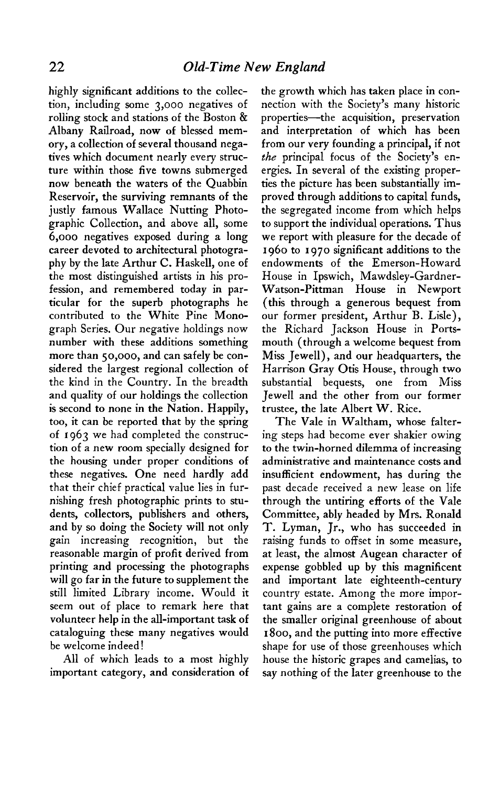**highly significant additions to the collection, including some 3,000 negatives of rolling stock and stations of the Boston & Albany Railroad, now of blessed memory, a collection of several thousand negatives which document nearly every structure within those five towns submerged now beneath the waters of the Quabbin Reservoir, the surviving remnants of the justly famous Wallace Nutting Photographic Collection, and above all, some 6,000 negatives exposed during a long career devoted to architectural photography by the late Arthur C. Haskell, one of the most distinguished artists in his profession, and remembered today in particular for the superb photographs he contributed to the White Pine Monograph Series. Our negative holdings now number with these additions something more than 50,000, and can safely be considered the largest regional collection of the kind in the Country. In the breadth and quality of our holdings the collection is second to none in the Nation. Happily, too, it can be reported that by the spring of 1963 we had completed the construction of a new room specially designed for the housing under proper conditions of these negatives. One need hardly add that their chief practical value lies in furnishing fresh photographic prints to students, collectors, publishers and others, and by so doing the Society will not only gain increasing recognition, but the reasonable margin of profit derived from printing and processing the photographs will go far in the future to supplement the still limited Library income. Would it seem out of place to remark here that volunteer help in the all-important task of cataloguing these many negatives would be welcome indeed!** 

**All of which leads to a most highly important category, and consideration of**  **the growth which has taken place in connection with the Society's many historic properties-the acquisition, preservation and interpretation of which has been from our very founding a principal, if not the principal focus of the Society's energies. In several of the existing properties the picture has been substantially improved through additions to capital funds, the segregated income from which helps to support the individual operations. Thus we report with pleasure for the decade of I 960 to I 970 significant additions to the endowments of the Emerson-Howard House in Ipswich, Mawdsley-Gardner-Watson-Pittman House in Newport (this through a generous bequest from our former president, Arthur B. Lisle), the Richard Jackson House in Portsmouth (through a welcome bequest from Miss Jewell), and our headquarters, the Harrison Gray Otis House, through two substantial bequests, one from Miss Jewel1 and the other from our former trustee, the late Albert W. Rice.** 

**The Vale in Waltham, whose faltering steps had become ever shakier owing to the twin-horned dilemma of increasing administrative and maintenance costs and insufficient endowment, has during the past decade received a new lease on life through the untiring efforts of the Vale Committee, ably headed by Mrs. Ronald T. Lyman, Jr., who has succeeded in raising funds to offset in some measure, at least, the almost Augean character of expense gobbled up by this magnificent and important late eighteenth-century country estate. Among the more important gains are a complete restoration of the smaller original greenhouse of about I 800, and the putting into more effective shape for use of those greenhouses which house the historic grapes and camelias, to say nothing of the later greenhouse to the**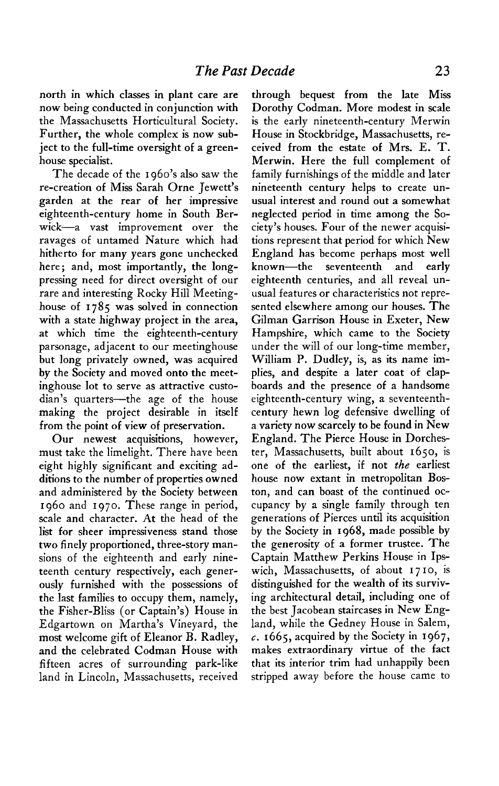**north in which classes in plant care are now being conducted in conjunction with the Massachusetts Horticultural Society. Further, the whole complex is now subject to the full-time oversight of a greenhouse specialist.** 

**The decade of the 1960's also saw the re-creation of Miss Sarah Orne Jewett's garden at the rear of her impressive eighteenth-century home in South Berwick-a vast improvement over the ravages of untamed Nature which had hitherto for many years gone unchecked here ; and, most importantly, the longpressing need for direct oversight of our rare and interesting Rocky Hill Meetinghouse of 1785 was solved in connection with a state highway project in the area, at which time the eighteenth-century parsonage, adjacent to our meetinghouse but long privately owned, was acquired by the Society and moved onto the meetinghouse lot to serve as attractive custodian's quarters-the age of the house making the project desirable in itself from the point of view of preservation.** 

**Our newest acquisitions, however, must take the limelight. There have been eight highly significant and exciting additions to the number of properties owned and administered by the Society between 1960 and 1970. These range in period, scale and character. At the head of the list for sheer impressiveness stand those two finely proportioned, three-story mansions of the eighteenth and early nineteenth century respectively, each generously furnished with the possessions of the last families to occupy them, namely, the Fisher-Bliss (or Captain's) House in Edgartown on Martha's Vineyard, the most welcome gift of Eleanor B. Radley, and the celebrated Codman House with fifteen acres of surrounding park-like land in Lincoln, Massachusetts, received**  **through bequest from the late Miss Dorothy Codman. More modest in scale is the early nineteenth-century Merwin House in Stockbridge, Massachusetts, received from the estate of Mrs. E. T. Merwin. Here the full complement of family furnishings of the middle and later nineteenth century helps to create unusual interest and round out a somewhat neglected period in time among the Society's houses. Four of the newer acquisitions represent that period for which New England has become perhaps most well known-the seventeenth and early eighteenth centuries, and all reveal unusual features or characteristics not represented elsewhere among our houses. The Gilman Garrison House in Exeter, New Hampshire, which came to the Society under the will of our long-time member, William P. Dudley, is, as its name implies, and despite a later coat of clapboards and the presence of a handsome eighteenth-century wing, a seventeenthcentury hewn log defensive dwelling of a variety now scarcely to be found in New England. The Pierce House in Dorchester, Massachusetts, built about 1650, is one of the earliest, if not the earliest house now extant in metropolitan Bos**ton, and can boast of the continued oc**cupancy by a single family through ten generations of Pierces until its acquisition by the Society in 1968, made possible by the generosity of a former trustee. The Captain Matthew Perkins House in Ipswith, Massachusetts, of about 17 IO, is distinguished for the wealth of its surviving architectural detail, including one of the best Jacobean staircases in New England, while the Gedney House in Salem, C. 1665, acquired by the Society in 1967, makes extraordinary virtue of the fact that its interior trim had unhappily been stripped away before the house came to**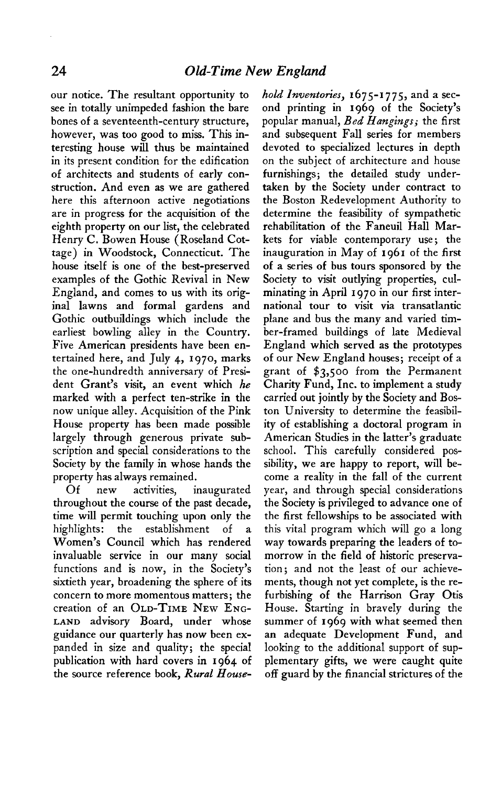**our notice. The resultant opportunity to see in totally unimpeded fashion the bare bones of a seventeenth-century structure, however, was too good to miss. This interesting house will thus be maintained in its present condition for the edification of architects and students of early construction. And even as we are gathered here this afternoon active negotiations are in progress for the acquisition of the eighth property on our list, the celebrated Henry C. Bowen House. (Roseland Cottage) in Woodstock, Connecticut. The house itself is one of the best-preserved examples of the Gothic Revival in New England, and comes to us with its original lawns and formal gardens and Gothic outbuildings which include the earliest bowling alley in the Country. Five American presidents have been entertained here, and July 4, 1970, marks the one-hundredth anniversary of President Grant's visit, an event which he marked with a perfect ten-strike in the now unique alley. Acquisition of the Pink House property has been made possible largely through generous private subscription and special considerations to the Society by the family in whose hands the property has always remained.** 

**Of new activities, inaugurated throughout the course of the past decade, time will permit touching upon only the highlights: the establishment of a Women's Council which has rendered invaluable service in our many social functions and is now, in the Society's sixtieth year, broadening the sphere of its concern to more momentous matters; the creation of an OLD-TIME NEW ENG-LAND advisory Board, under whose guidance our quarterly has now been expanded in size and quality; the special publication with hard covers in 1964 of the source reference book, Rural House-** **hold Inventories, 1675-1775, and a second printing in 1969 of the Society's popular manual, Bed Hangings; the first and subsequent Fall series for members devoted to specialized lectures in depth on the subject of architecture and house furnishings; the detailed study undertaken by the Society under contract to the Boston Redevelopment Authority to determine the feasibility of sympathetic rehabilitation of the Faneuil Hall Markets for viable contemporary use; the inauguration in May of 1961 of the first of a series of bus tours sponsored by the Society to visit outlying properties, culminating in April I 970 in our first international tour to visit via transatlantic plane and bus the many and varied timber-framed buildings of late Medieval England which served as the prototypes of our New England houses; receipt of a grant of \$3,500 from the Permanent Charity Fund, Inc. to implement a study carried out jointly by the Society and Boston University to determine the feasibility of establishing a doctoral program in American Studies in the latter's graduate school. This carefully considered possibility, we are happy to report, will become a reality in the fall of the current year, and through special considerations the Society is privileged to advance one of the first fellowships to be associated with this vital program which will go a long way towards preparing the leaders of tomorrow in the field of historic preservation; and not the least of our achievements, though not yet complete, is the refurbishing of the Harrison Gray Otis House. Starting in bravely during the summer of 1969 with what seemed then an adequate Development Fund, and looking to the additional support of supplementary gifts, we were caught quite off guard by the financial strictures of the**